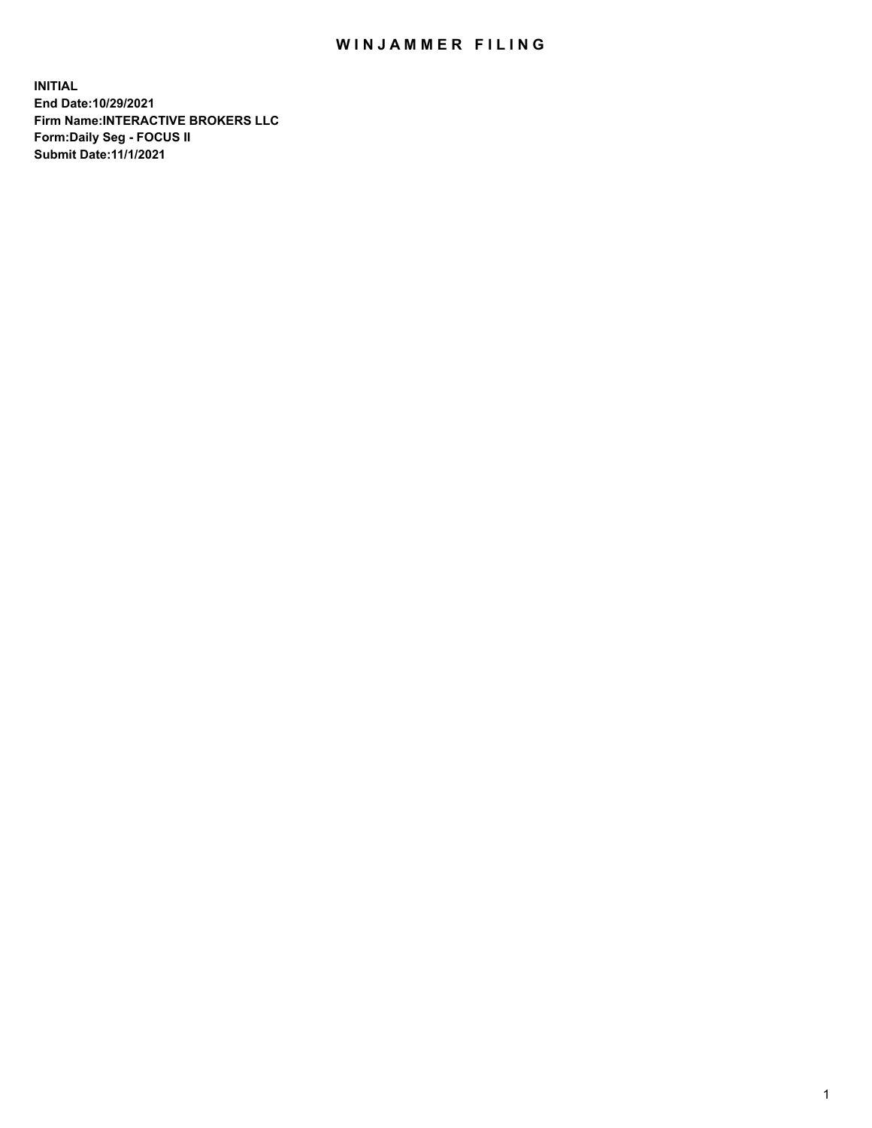## WIN JAMMER FILING

**INITIAL End Date:10/29/2021 Firm Name:INTERACTIVE BROKERS LLC Form:Daily Seg - FOCUS II Submit Date:11/1/2021**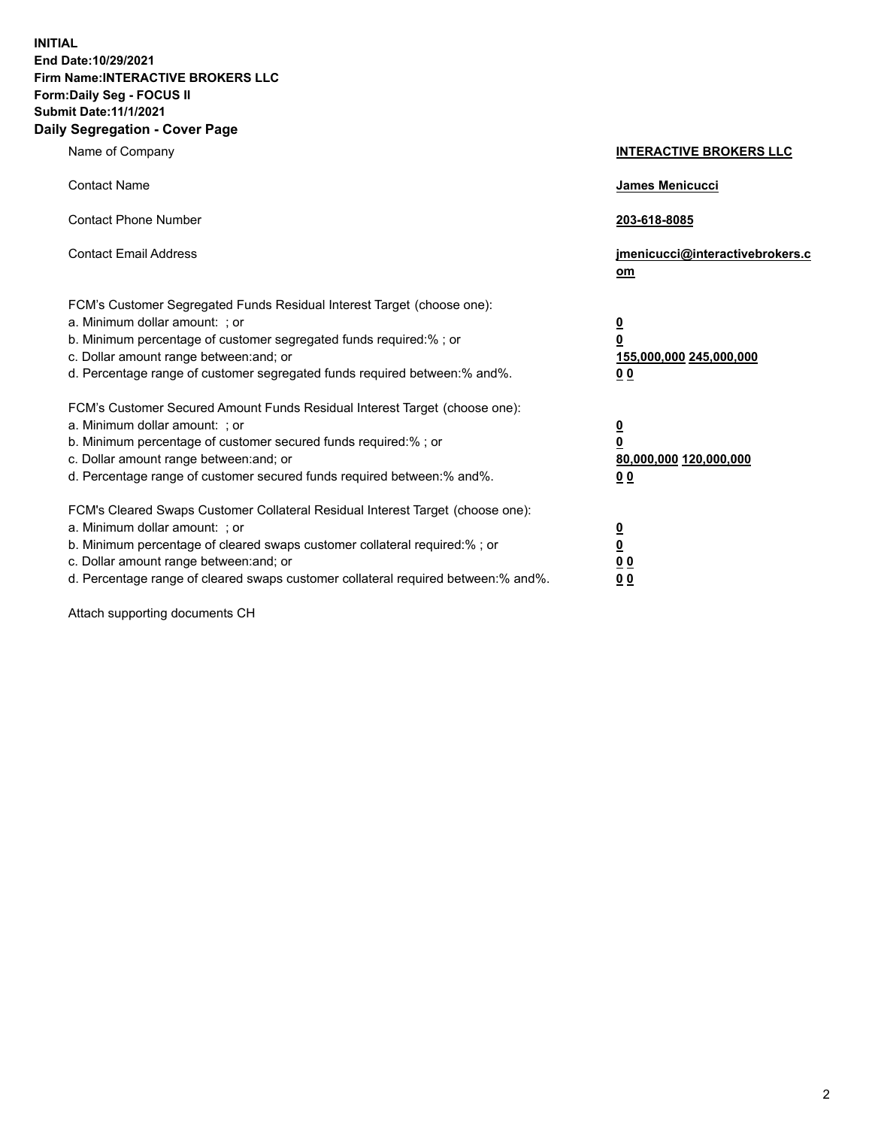**INITIAL End Date:10/29/2021 Firm Name:INTERACTIVE BROKERS LLC Form:Daily Seg - FOCUS II Submit Date:11/1/2021 Daily Segregation - Cover Page**

| Name of Company                                                                                                                                                                                                                                                                                                                | <b>INTERACTIVE BROKERS LLC</b>                                                  |
|--------------------------------------------------------------------------------------------------------------------------------------------------------------------------------------------------------------------------------------------------------------------------------------------------------------------------------|---------------------------------------------------------------------------------|
| <b>Contact Name</b>                                                                                                                                                                                                                                                                                                            | James Menicucci                                                                 |
| <b>Contact Phone Number</b>                                                                                                                                                                                                                                                                                                    | 203-618-8085                                                                    |
| <b>Contact Email Address</b>                                                                                                                                                                                                                                                                                                   | jmenicucci@interactivebrokers.c<br>om                                           |
| FCM's Customer Segregated Funds Residual Interest Target (choose one):<br>a. Minimum dollar amount: ; or<br>b. Minimum percentage of customer segregated funds required:%; or<br>c. Dollar amount range between: and; or<br>d. Percentage range of customer segregated funds required between:% and%.                          | <u>0</u><br>$\overline{\mathbf{0}}$<br>155,000,000 245,000,000<br><u>00</u>     |
| FCM's Customer Secured Amount Funds Residual Interest Target (choose one):<br>a. Minimum dollar amount: ; or<br>b. Minimum percentage of customer secured funds required:% ; or<br>c. Dollar amount range between: and; or<br>d. Percentage range of customer secured funds required between:% and%.                           | <u>0</u><br>$\overline{\mathbf{0}}$<br>80,000,000 120,000,000<br>0 <sub>0</sub> |
| FCM's Cleared Swaps Customer Collateral Residual Interest Target (choose one):<br>a. Minimum dollar amount: ; or<br>b. Minimum percentage of cleared swaps customer collateral required:% ; or<br>c. Dollar amount range between: and; or<br>d. Percentage range of cleared swaps customer collateral required between:% and%. | <u>0</u><br>$\underline{\mathbf{0}}$<br>0 <sub>0</sub><br>0 <sub>0</sub>        |

Attach supporting documents CH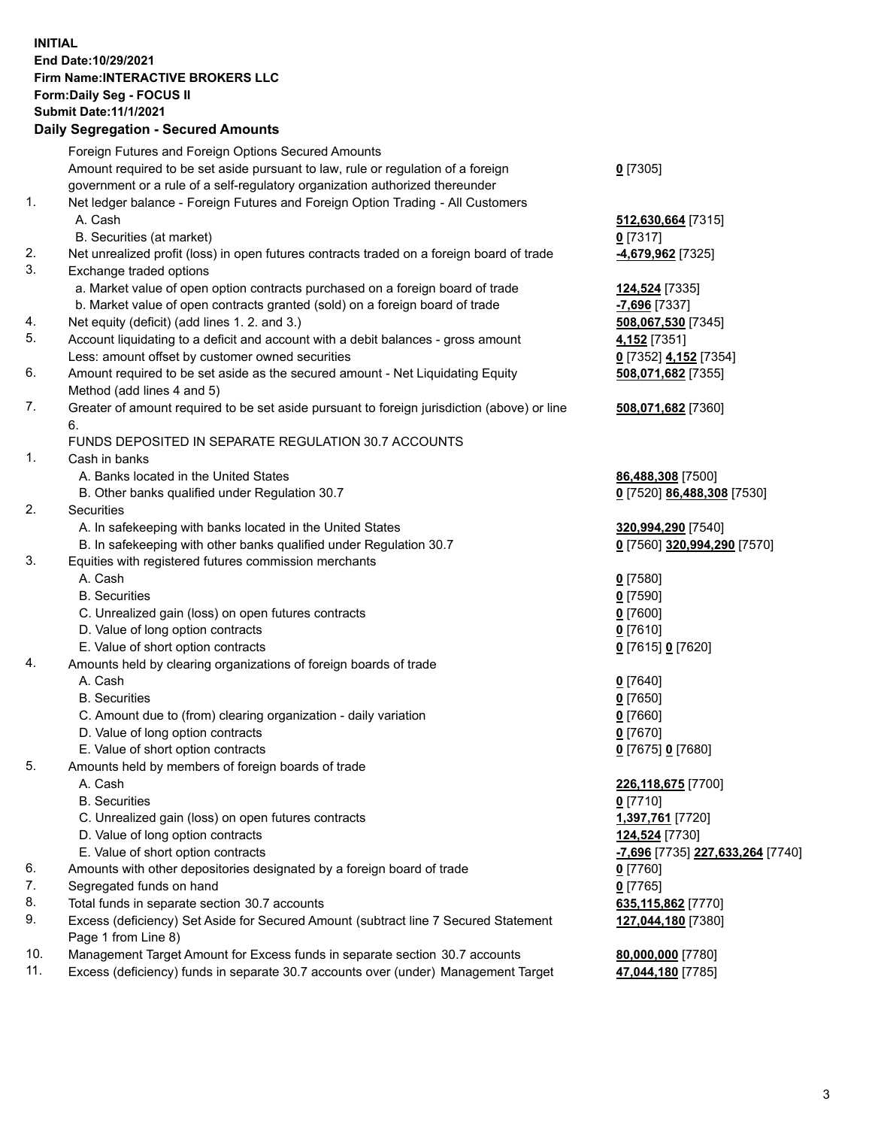## **INITIAL End Date:10/29/2021 Firm Name:INTERACTIVE BROKERS LLC Form:Daily Seg - FOCUS II Submit Date:11/1/2021 Daily Segregation - Secured Amounts**

|     | Daily Segregation - Secured Amounts                                                                        |                                         |
|-----|------------------------------------------------------------------------------------------------------------|-----------------------------------------|
|     | Foreign Futures and Foreign Options Secured Amounts                                                        |                                         |
|     | Amount required to be set aside pursuant to law, rule or regulation of a foreign                           | $0$ [7305]                              |
|     | government or a rule of a self-regulatory organization authorized thereunder                               |                                         |
| 1.  | Net ledger balance - Foreign Futures and Foreign Option Trading - All Customers                            |                                         |
|     | A. Cash                                                                                                    | 512,630,664 [7315]                      |
|     | B. Securities (at market)                                                                                  | $0$ [7317]                              |
| 2.  | Net unrealized profit (loss) in open futures contracts traded on a foreign board of trade                  | 4,679,962 [7325]                        |
| 3.  | Exchange traded options                                                                                    |                                         |
|     | a. Market value of open option contracts purchased on a foreign board of trade                             | 124,524 [7335]                          |
|     | b. Market value of open contracts granted (sold) on a foreign board of trade                               | $-7,696$ [7337]                         |
| 4.  | Net equity (deficit) (add lines 1. 2. and 3.)                                                              | 508,067,530 [7345]                      |
| 5.  | Account liquidating to a deficit and account with a debit balances - gross amount                          | 4,152 [7351]                            |
|     | Less: amount offset by customer owned securities                                                           | 0 [7352] 4,152 [7354]                   |
| 6.  | Amount required to be set aside as the secured amount - Net Liquidating Equity                             | 508,071,682 [7355]                      |
|     | Method (add lines 4 and 5)                                                                                 |                                         |
| 7.  | Greater of amount required to be set aside pursuant to foreign jurisdiction (above) or line                | 508,071,682 [7360]                      |
|     | 6.                                                                                                         |                                         |
|     | FUNDS DEPOSITED IN SEPARATE REGULATION 30.7 ACCOUNTS                                                       |                                         |
| 1.  | Cash in banks                                                                                              |                                         |
|     | A. Banks located in the United States                                                                      | 86,488,308 [7500]                       |
|     | B. Other banks qualified under Regulation 30.7                                                             | 0 [7520] 86,488,308 [7530]              |
| 2.  | Securities                                                                                                 |                                         |
|     | A. In safekeeping with banks located in the United States                                                  | 320,994,290 [7540]                      |
|     | B. In safekeeping with other banks qualified under Regulation 30.7                                         | 0 [7560] 320,994,290 [7570]             |
| 3.  | Equities with registered futures commission merchants                                                      |                                         |
|     | A. Cash                                                                                                    | $0$ [7580]                              |
|     | <b>B.</b> Securities                                                                                       | $0$ [7590]                              |
|     | C. Unrealized gain (loss) on open futures contracts                                                        | $0$ [7600]                              |
|     | D. Value of long option contracts                                                                          | $0$ [7610]                              |
|     | E. Value of short option contracts                                                                         | 0 [7615] 0 [7620]                       |
| 4.  | Amounts held by clearing organizations of foreign boards of trade                                          |                                         |
|     | A. Cash                                                                                                    | $0$ [7640]                              |
|     | <b>B.</b> Securities                                                                                       | $Q$ [7650]                              |
|     | C. Amount due to (from) clearing organization - daily variation                                            | $0$ [7660]                              |
|     | D. Value of long option contracts                                                                          | $0$ [7670]                              |
|     | E. Value of short option contracts                                                                         | 0 [7675] 0 [7680]                       |
| 5.  | Amounts held by members of foreign boards of trade                                                         |                                         |
|     | A. Cash                                                                                                    | 226,118,675 [7700]                      |
|     | <b>B.</b> Securities                                                                                       | $0$ [7710]                              |
|     | C. Unrealized gain (loss) on open futures contracts                                                        | 1,397,761 [7720]                        |
|     | D. Value of long option contracts                                                                          | 124,524 [7730]                          |
|     | E. Value of short option contracts                                                                         | <u>-7,696</u> [7735] 227,633,264 [7740] |
| 6.  | Amounts with other depositories designated by a foreign board of trade                                     | 0 [7760]                                |
| 7.  | Segregated funds on hand                                                                                   | $0$ [7765]                              |
| 8.  | Total funds in separate section 30.7 accounts                                                              | 635,115,862 [7770]                      |
| 9.  | Excess (deficiency) Set Aside for Secured Amount (subtract line 7 Secured Statement<br>Page 1 from Line 8) | 127,044,180 [7380]                      |
| 10. | Management Target Amount for Excess funds in separate section 30.7 accounts                                | 80,000,000 [7780]                       |
| 11. | Excess (deficiency) funds in separate 30.7 accounts over (under) Management Target                         | 47,044,180 [7785]                       |
|     |                                                                                                            |                                         |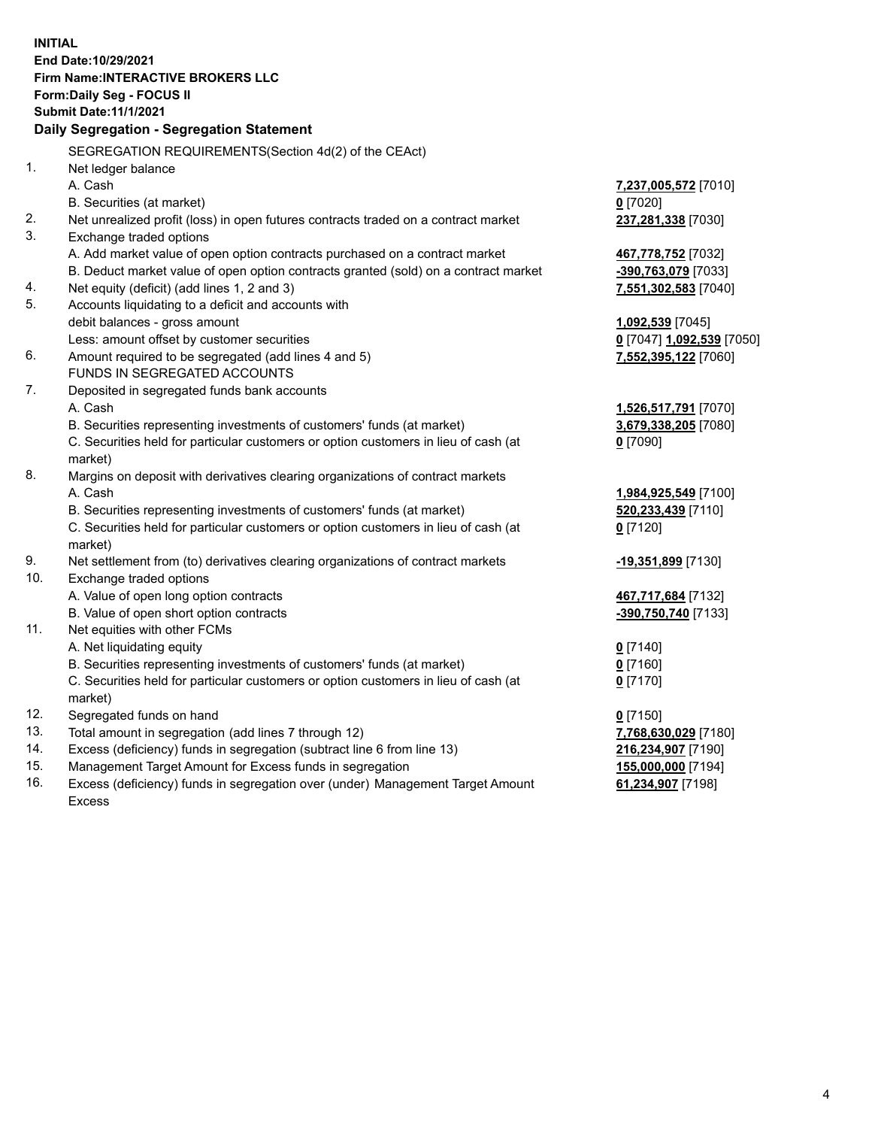**INITIAL End Date:10/29/2021 Firm Name:INTERACTIVE BROKERS LLC Form:Daily Seg - FOCUS II Submit Date:11/1/2021 Daily Segregation - Segregation Statement** SEGREGATION REQUIREMENTS(Section 4d(2) of the CEAct) 1. Net ledger balance A. Cash **7,237,005,572** [7010] B. Securities (at market) **0** [7020] 2. Net unrealized profit (loss) in open futures contracts traded on a contract market **237,281,338** [7030] 3. Exchange traded options A. Add market value of open option contracts purchased on a contract market **467,778,752** [7032] B. Deduct market value of open option contracts granted (sold) on a contract market **-390,763,079** [7033] 4. Net equity (deficit) (add lines 1, 2 and 3) **7,551,302,583** [7040] 5. Accounts liquidating to a deficit and accounts with debit balances - gross amount **1,092,539** [7045] Less: amount offset by customer securities **0** [7047] **1,092,539** [7050] 6. Amount required to be segregated (add lines 4 and 5) **7,552,395,122** [7060] FUNDS IN SEGREGATED ACCOUNTS 7. Deposited in segregated funds bank accounts A. Cash **1,526,517,791** [7070] B. Securities representing investments of customers' funds (at market) **3,679,338,205** [7080] C. Securities held for particular customers or option customers in lieu of cash (at market) **0** [7090] 8. Margins on deposit with derivatives clearing organizations of contract markets A. Cash **1,984,925,549** [7100] B. Securities representing investments of customers' funds (at market) **520,233,439** [7110] C. Securities held for particular customers or option customers in lieu of cash (at market) **0** [7120] 9. Net settlement from (to) derivatives clearing organizations of contract markets **-19,351,899** [7130] 10. Exchange traded options A. Value of open long option contracts **467,717,684** [7132] B. Value of open short option contracts **-390,750,740** [7133] 11. Net equities with other FCMs A. Net liquidating equity **0** [7140] B. Securities representing investments of customers' funds (at market) **0** [7160] C. Securities held for particular customers or option customers in lieu of cash (at market) **0** [7170] 12. Segregated funds on hand **0** [7150] 13. Total amount in segregation (add lines 7 through 12) **7,768,630,029** [7180] 14. Excess (deficiency) funds in segregation (subtract line 6 from line 13) **216,234,907** [7190] 15. Management Target Amount for Excess funds in segregation **155,000,000** [7194] 16. Excess (deficiency) funds in segregation over (under) Management Target Amount Excess **61,234,907** [7198]